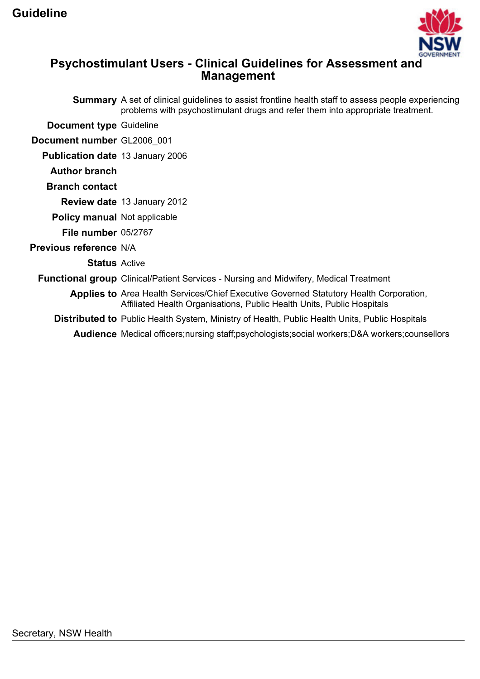

# **Psychostimulant Users - Clinical Guidelines for Assessment and Management**

|                                         | <b>Summary</b> A set of clinical guidelines to assist frontline health staff to assess people experiencing<br>problems with psychostimulant drugs and refer them into appropriate treatment. |
|-----------------------------------------|----------------------------------------------------------------------------------------------------------------------------------------------------------------------------------------------|
| <b>Document type Guideline</b>          |                                                                                                                                                                                              |
| Document number GL2006_001              |                                                                                                                                                                                              |
| <b>Publication date 13 January 2006</b> |                                                                                                                                                                                              |
| <b>Author branch</b>                    |                                                                                                                                                                                              |
| <b>Branch contact</b>                   |                                                                                                                                                                                              |
|                                         | <b>Review date 13 January 2012</b>                                                                                                                                                           |
| <b>Policy manual Not applicable</b>     |                                                                                                                                                                                              |
| File number 05/2767                     |                                                                                                                                                                                              |
| <b>Previous reference N/A</b>           |                                                                                                                                                                                              |
| <b>Status</b> Active                    |                                                                                                                                                                                              |
|                                         | <b>Functional group</b> Clinical/Patient Services - Nursing and Midwifery, Medical Treatment                                                                                                 |
|                                         | Applies to Area Health Services/Chief Executive Governed Statutory Health Corporation,<br>Affiliated Health Organisations, Public Health Units, Public Hospitals                             |
|                                         | <b>Distributed to</b> Public Health System, Ministry of Health, Public Health Units, Public Hospitals                                                                                        |
|                                         | <b>Audience</b> Medical officers; nursing staff; psychologists; social workers; D&A workers; counsellors                                                                                     |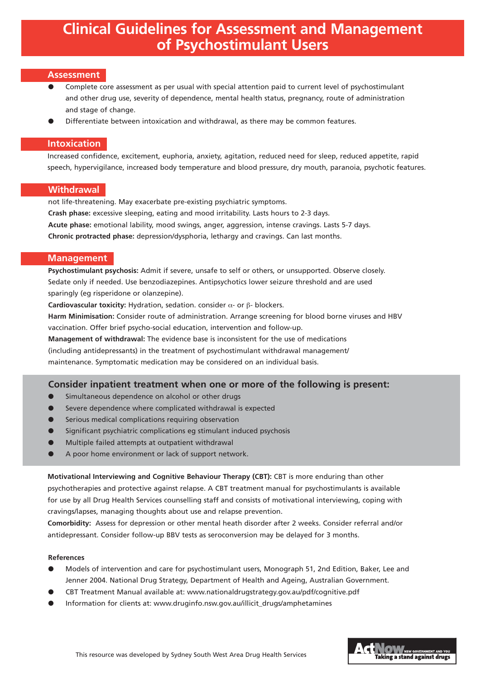# **Clinical Guidelines for Assessment and Management of Psychostimulant Users**

#### **Assessment**

- Complete core assessment as per usual with special attention paid to current level of psychostimulant and other drug use, severity of dependence, mental health status, pregnancy, route of administration and stage of change.
- Differentiate between intoxication and withdrawal, as there may be common features.

## **Intoxication**

Increased confidence, excitement, euphoria, anxiety, agitation, reduced need for sleep, reduced appetite, rapid speech, hypervigilance, increased body temperature and blood pressure, dry mouth, paranoia, psychotic features.

## **Withdrawal**

not life-threatening. May exacerbate pre-existing psychiatric symptoms. **Crash phase:** excessive sleeping, eating and mood irritability. Lasts hours to 2-3 days. **Acute phase:** emotional lability, mood swings, anger, aggression, intense cravings. Lasts 5-7 days. **Chronic protracted phase:** depression/dysphoria, lethargy and cravings. Can last months.

## **Management**

**Psychostimulant psychosis:** Admit if severe, unsafe to self or others, or unsupported. Observe closely. Sedate only if needed. Use benzodiazepines. Antipsychotics lower seizure threshold and are used sparingly (eg risperidone or olanzepine).

**Cardiovascular toxicity:** Hydration, sedation. consider α- or β- blockers.

**Harm Minimisation:** Consider route of administration. Arrange screening for blood borne viruses and HBV vaccination. Offer brief psycho-social education, intervention and follow-up.

**Management of withdrawal:** The evidence base is inconsistent for the use of medications (including antidepressants) in the treatment of psychostimulant withdrawal management/ maintenance. Symptomatic medication may be considered on an individual basis.

## **Consider inpatient treatment when one or more of the following is present:**

- Simultaneous dependence on alcohol or other drugs
- Severe dependence where complicated withdrawal is expected
- Serious medical complications requiring observation
- Significant psychiatric complications eg stimulant induced psychosis
- Multiple failed attempts at outpatient withdrawal
- A poor home environment or lack of support network.

**Motivational Interviewing and Cognitive Behaviour Therapy (CBT):** CBT is more enduring than other psychotherapies and protective against relapse. A CBT treatment manual for psychostimulants is available for use by all Drug Health Services counselling staff and consists of motivational interviewing, coping with cravings/lapses, managing thoughts about use and relapse prevention.

**Comorbidity:** Assess for depression or other mental heath disorder after 2 weeks. Consider referral and/or antidepressant. Consider follow-up BBV tests as seroconversion may be delayed for 3 months.

#### **References**

- Models of intervention and care for psychostimulant users, Monograph 51, 2nd Edition, Baker, Lee and Jenner 2004. National Drug Strategy, Department of Health and Ageing, Australian Government.
- CBT Treatment Manual available at: www.nationaldrugstrategy.gov.au/pdf/cognitive.pdf
- Information for clients at: www.druginfo.nsw.gov.au/illicit\_drugs/amphetamines